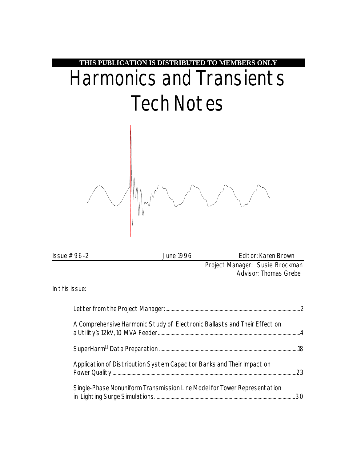

| $\ssue #96-2$  | June 1996                                                                 | Editor: Karen Brown                                             |
|----------------|---------------------------------------------------------------------------|-----------------------------------------------------------------|
|                |                                                                           | Project Manager: Susie Brockman<br><b>Advisor: Thomas Grebe</b> |
| In this issue: |                                                                           |                                                                 |
|                |                                                                           |                                                                 |
|                | A Comprehensive Harmonic Study of Electronic Ballasts and Their Effect on |                                                                 |

| A Comprehensive Harmonic Study of Electronic Ballasts and Their Effect on |  |
|---------------------------------------------------------------------------|--|
|                                                                           |  |
| Application of Distribution System Capacitor Banks and Their Impact on    |  |
| Single-Phase Nonuniform Transmission Line Model for Tower Representation  |  |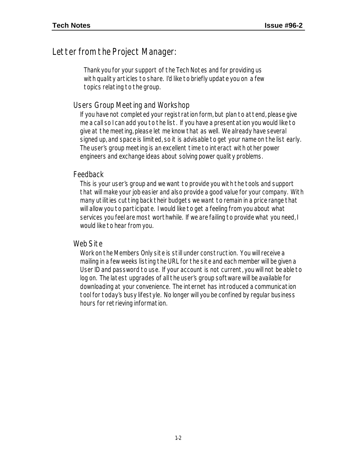#### Letter from the Project Manager:

Thank you for your support of the Tech Notes and for providing us with quality articles to share. I'd like to briefly update you on a few topics relating to the group.

#### Users Group Meeting and Workshop

If you have not completed your registration form, but plan to attend, please give me a call so I can add you to the list. If you have a presentation you would like to give at the meeting, please let me know that as well. We already have several signed up, and space is limited, so it is advisable to get your name on the list early. The user's group meeting is an excellent time to interact with other power engineers and exchange ideas about solving power quality problems.

#### Feedback

This is your user's group and we want to provide you with the tools and support that will make your job easier and also provide a good value for your company. With many utilities cutting back their budgets we want to remain in a price range that will allow you to participate. I would like to get a feeling from you about what services you feel are most worthwhile. If we are failing to provide what you need, I would like to hear from you.

#### Web Site

Work on the Members Only site is still under construction. You will receive a mailing in a few weeks listing the URL for the site and each member will be given a User ID and password to use. If your account is not current, you will not be able to log on. The latest upgrades of all the user's group software will be available for downloading at your convenience. The internet has introduced a communication tool for today's busy lifestyle. No longer will you be confined by regular business hours for retrieving information.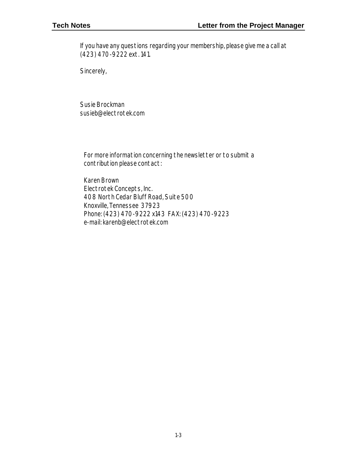If you have any questions regarding your membership, please give me a call at (423) 470-9222 ext. 141.

Sincerely,

Susie Brockman susieb@electrotek.com

For more information concerning the newsletter or to submit a contribution please contact:

Karen Brown Electrotek Concepts, Inc. 408 North Cedar Bluff Road, Suite 500 Knoxville, Tennessee 37923 Phone: (423) 470-9222 x143 FAX: (423) 470-9223 e-mail: karenb@electrotek.com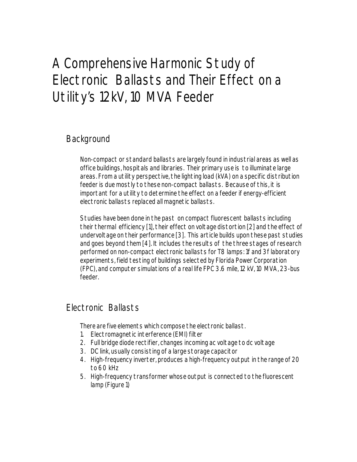## A Comprehensive Harmonic Study of Electronic Ballasts and Their Effect on a Utility's 12kV, 10 MVA Feeder

### **Background**

Non-compact or standard ballasts are largely found in industrial areas as well as office buildings, hospitals and libraries. Their primary use is to illuminate large areas. From a utility perspective, the lighting load (kVA) on a specific distribution feeder is due mostly to these non-compact ballasts. Because of this, it is important for a utility to determine the effect on a feeder if energy-efficient electronic ballasts replaced all magnetic ballasts.

Studies have been done in the past on compact fluorescent ballasts including their thermal efficiency [1], their effect on voltage distortion [2] and the effect of undervoltage on their performance [3]. This article builds upon these past studies and goes beyond them [4]. It includes the results of the three stages of research performed on non-compact electronic ballasts for T8 lamps: 1f and 3f laboratory experiments, field testing of buildings selected by Florida Power Corporation (FPC), and computer simulations of a real life FPC 3.6 mile, 12 kV, 10 MVA, 23-bus feeder.

#### Electronic Ballasts

There are five elements which compose the electronic ballast.

- 1. Electromagnetic interference (EMI) filter
- 2. Full bridge diode rectifier, changes incoming ac voltage to dc voltage
- 3. DC link, usually consisting of a large storage capacitor
- 4. High-frequency inverter, produces a high-frequency output in the range of 20 to 60 kHz
- 5. High-frequency transformer whose output is connected to the fluorescent lamp (Figure 1)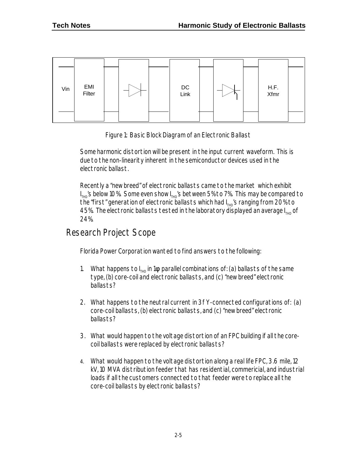



Some harmonic distortion will be present in the input current waveform. This is due to the non-linearity inherent in the semiconductor devices used in the electronic ballast.

Recently a "new breed" of electronic ballasts came to the market which exhibit  $\mathsf{I}_{\text{\tiny THD}}$ 's below 10%. Some even show  $\mathsf{I}_{\text{\tiny THD}}$ 's between 5% to 7%. This may be compared to the "first" generation of electronic ballasts which had I $_{\text{\tiny{THD}}}$ 's ranging from 20% to 45%. The electronic ballasts tested in the laboratory displayed an average  $I_{THD}$  of 24%.

#### Research Project Scope

Florida Power Corporation wanted to find answers to the following:

- 1. What happens to  $I_{THD}$  in 1 $f$  parallel combinations of: (a) ballasts of the same type, (b) core-coil and electronic ballasts, and (c) "new breed" electronic ballasts?
- 2. What happens to the neutral current in 3f Y-connected configurations of: (a) core-coil ballasts, (b) electronic ballasts, and (c) "new breed" electronic ballasts?
- 3. What would happen to the voltage distortion of an FPC building if all the corecoil ballasts were replaced by electronic ballasts?
- 4. What would happen to the voltage distortion along a real life FPC, 3.6 mile, 12 kV, 10 MVA distribution feeder that has residential, commericial, and industrial loads if all the customers connected to that feeder were to replace all the core-coil ballasts by electronic ballasts?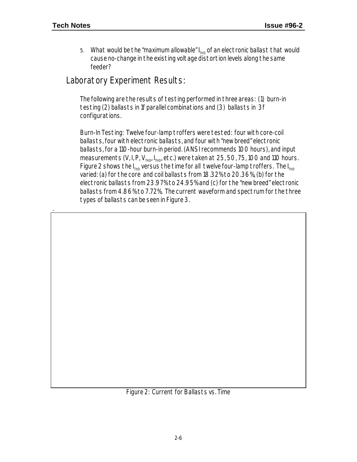.

5. What would be the "maximum allowable"  $I_{THD}$  of an electronic ballast that would cause no-change in the existing voltage distortion levels along the same feeder?

#### Laboratory Experiment Results:

The following are the results of testing performed in three areas: (1) burn-in testing (2) ballasts in 1f parallel combinations and (3) ballasts in 3f configurations.

Burn-In Testing: Twelve four-lamp troffers were tested: four with core-coil ballasts, four with electronic ballasts, and four with "new breed" electronic ballasts, for a 110-hour burn-in period. (ANSI recommends 100 hours), and input measurements  $(V, I, P, V_{THD}, I_{THD}$  etc.) were taken at 25, 50, 75, 100 and 110 hours. Figure 2 shows the  $I_{THD}$  versus the time for all twelve four-lamp troffers. The  $I_{THD}$ varied: (a) for the core and coil ballasts from 18.32% to 20.36%, (b) for the electronic ballasts from 23.97% to 24.95% and (c) for the "new breed" electronic ballasts from 4.86% to 7.72%. The current waveform and spectrum for the three types of ballasts can be seen in Figure 3.

Figure 2: Current for Ballasts vs. Time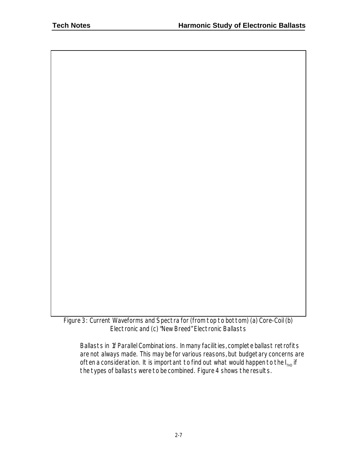Figure 3: Current Waveforms and Spectra for (from top to bottom) (a) Core-Coil (b) Electronic and (c) "New Breed" Electronic Ballasts

Ballasts in 1f Parallel Combinations. In many facilities, complete ballast retrofits are not always made. This may be for various reasons, but budgetary concerns are often a consideration. It is important to find out what would happen to the  $I_{T+ID}$  if the types of ballasts were to be combined. Figure 4 shows the results.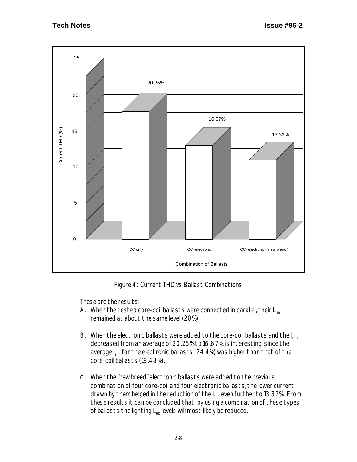

Figure 4: Current THD vs Ballast Combinations

These are the results:

- A. When the tested core-coil ballasts were connected in parallel, their  $I_{HID}$ remained at about the same level (20%).
- B. When the electronic ballasts were added to the core-coil ballasts and the  $I_{THD}$ decreased from an average of 20.25% to 16.67%, is interesting since the average  $I_{THD}$  for the electronic ballasts (24.4%) was higher than that of the core-coil ballasts (19.48%).
- C. When the "new breed" electronic ballasts were added to the previous combination of four core-coil and four electronic ballasts, the lower current drawn by them helped in the reduction of the  $I_{THD}$  even further to 13.32%. From these results it can be concluded that by using a combination of these types of ballasts the lighting  $I_{THD}$  levels will most likely be reduced.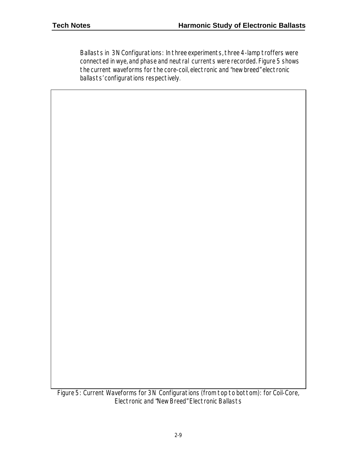Ballasts in 3N Configurations: In three experiments, three 4-lamp troffers were connected in wye, and phase and neutral currents were recorded. Figure 5 shows the current waveforms for the core-coil, electronic and "new breed" electronic ballasts' configurations respectively.

Figure 5: Current Waveforms for 3N Configurations (from top to bottom): for Coil-Core, Electronic and "New Breed" Electronic Ballasts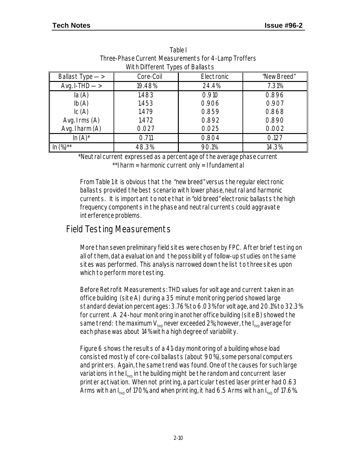| Ballast Type ->              | Core-Coil | Electronic | "New Breed" |
|------------------------------|-----------|------------|-------------|
| Avg. I-THD $\longrightarrow$ | 19.48%    | 24.4%      | 7.31%       |
| la(A)                        | 1.483     | 0.910      | 0.896       |
| Ib(A)                        | 1.453     | 0.906      | 0.907       |
| $\mathsf{IC}(A)$             | 1.479     | 0.859      | 0.868       |
| Avg. $I$ rms $(A)$           | 1.472     | 0.892      | 0.890       |
| Avg. I harm (A)              | 0.027     | 0.025      | 0.002       |
| $\ln(A)^*$                   | 0.711     | 0.804      | 0.127       |
| $(\%)^{**}$                  | 48.3%     | 90.1%      | 14.3%       |

| Table L                                              |
|------------------------------------------------------|
| Three-Phase Current Measurements for 4-Lamp Troffers |
| With Different Types of Ballasts                     |

\*Neutral current expressed as a percentage of the average phase current \*\*I harm = harmonic current only = I fundamental

From Table 1 it is obvious that the "new breed" versus the regular electronic ballasts provided the best scenario with lower phase, neutral and harmonic currents. It is important to note that in "old breed" electronic ballasts the high frequency components in the phase and neutral currents could aggravate interference problems.

#### Field Testing Measurements

More than seven preliminary field sites were chosen by FPC. After brief testing on all of them, data evaluation and the possibility of follow-up studies on the same sites was performed. This analysis narrowed down the list to three sites upon which to perform more testing.

Before Retrofit Measurements: THD values for voltage and current taken in an office building (site A) during a 35 minute monitoring period showed large standard deviation percentages: 3.76% to 6.03% for voltage, and 20.1% to 32.3% for current. A 24-hour monitoring in another office building (site B) showed the same trend: the maximum  $V_{THD}$  never exceeded 2%; however, the  $I_{THD}$  average for each phase was about 14% with a high degree of variability.

Figure 6 shows the results of a 41-day monitoring of a building whose load consisted mostly of core-coil ballasts (about 90%), some personal computers and printers. Again, the same trend was found. One of the causes for such large variations in the  $I_{THD}$  in the building might be the random and concurrent laser printer activation. When not printing, a particular tested laser printer had 0.63 Arms with an I $_{_{\mathrm{THD}}}$  of 170%, and when printing, it had 6.5 Arms with an I $_{_{\mathrm{THD}}}$  of 17.6%.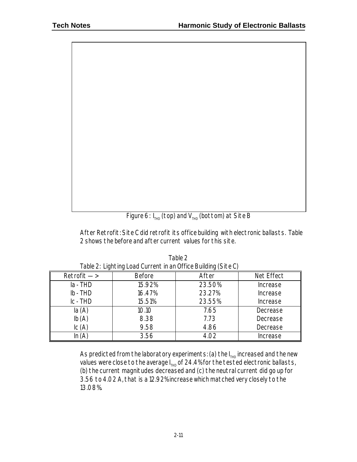Figure 6:  $I_{THD}$  (top) and  $V_{THD}$  (bottom) at Site B

After Retrofit: Site C did retrofit its office building with electronic ballasts. Table 2 shows the before and after current values for this site.

| $Retrofit \rightarrow$ | <b>Before</b> | After  | Net Effect                    |  |
|------------------------|---------------|--------|-------------------------------|--|
| $Ia$ - THD             | 15.92%        | 23.50% | <i>Increase</i>               |  |
| $Ib$ - THD             | 16.47%        | 23.27% | <i>Increase</i>               |  |
| $IC$ - $THD$           | 15.51%        | 23.55% | <i><u><b>Increase</b></u></i> |  |
| la(A)                  | 10.10         | 7.65   | Decrease                      |  |
| Ib(A)                  | 8.38          | 7.73   | Decrease                      |  |
| $\mathsf{IC}(A)$       | 9.58          | 4.86   | Decrease                      |  |
|                        | 3.56          | 4.02   | <i>Increase</i>               |  |

Table 2 Table 2: Lighting Load Current in an Office Building (Site C)

As predicted from the laboratory experiments: (a) the  $I_{THD}$  increased and the new values were close to the average  $I_{THD}$  of 24.4% for the tested electronic ballasts, (b) the current magnitudes decreased and (c) the neutral current did go up for 3.56 to 4.02 A, that is a 12.92% increase which matched very closely to the 13.08%.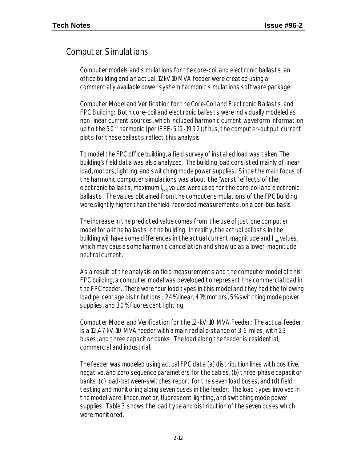### Computer Simulations

Computer models and simulations for the core-coil and electronic ballasts, an office building and an actual, 12kV 10MVA feeder were created using a commercially available power system harmonic simulations software package.

Computer Model and Verification for the Core-Coil and Electronic Ballasts, and FPC Building: Both core-coil and electronic ballasts were individually modeled as non-linear current sources, which included harmonic current waveform information up to the  $50<sup>th</sup>$  harmonic (per IEEE-519-1992); thus, the computer-output current plots for these ballasts reflect this analysis.

To model the FPC office building, a field survey of installed load was taken. The building's field data was also analyzed. The building load consisted mainly of linear load, motors, lighting, and switching mode power supplies. Since the main focus of the harmonic computer simulations was about the "worst" effects of the electronic ballasts, maximum  $I_{THD}$  values were used for the core-coil and electronic ballasts. The values obtained from the computer simulations of the FPC building were slightly higher than the field-recorded measurements, on a per-bus basis.

The increase in the predicted value comes from the use of just one computer model for all the ballasts in the building. In reality, the actual ballasts in the building will have some differences in the actual current magnitude and  $I_{THP}$  values, which may cause some harmonic cancellation and show up as a lower-magnitude neutral current.

As a result of the analysis on field measurements and the computer model of this FPC building, a computer model was developed to represent the commercial load in the FPC feeder. There were four load types in this model and they had the following load percentage distributions: 24% linear, 41% motors, 5% switching mode power supplies, and 30% fluorescent lighting.

Computer Model and Verification for the 12-kV, 10 MVA Feeder: The actual feeder is a 12.47 kV, 10 MVA feeder with a main radial distance of 3.6 miles, with 23 buses, and three capacitor banks. The load along the feeder is residential, commercial and industrial.

The feeder was modeled using actual FPC data (a) distribution lines with positive, negative, and zero sequence parameters for the cables, (b) three-phase capacitor banks, (c) load-between-switches report for the seven load buses, and (d) field testing and monitoring along seven buses in the feeder. The load types involved in the model were: linear, motor, fluorescent lighting, and switching mode power supplies. Table 3 shows the load type and distribution of the seven buses which were monitored.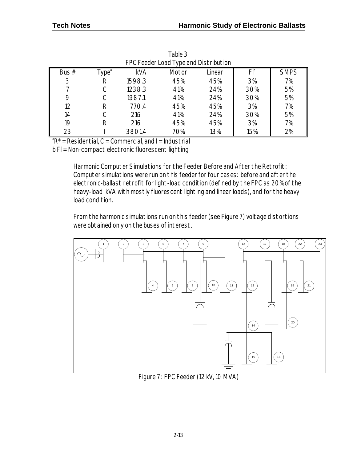| TT OT CCUCL LOGGET YOU GHG DISTING HOLL |                  |            |       |        |     |             |
|-----------------------------------------|------------------|------------|-------|--------|-----|-------------|
| Bus $#$                                 | ype <sup>a</sup> | <b>kVA</b> | Motor | Linear |     | <b>SMPS</b> |
| 3                                       | R                | 1598.3     | 45%   | 45%    | 3%  | 7%          |
|                                         |                  | 1238.3     | 41%   | 24%    | 30% | 5%          |
| 9                                       |                  | 1987.1     | 41%   | 24%    | 30% | 5%          |
| 12                                      | R                | 770.4      | 45%   | 45%    | 3%  | 7%          |
| 14                                      |                  | 216        | 41%   | 24%    | 30% | 5%          |
| 19                                      | R                | 216        | 45%   | 45%    | 3%  | 7%          |
| 23                                      |                  | 3801.4     | 70%   | 13%    | 15% | 2%          |

Table 3 FPC Feeder Load Type and Distribution

 ${}^{\circ}R^*$  = Residential, C = Commercial, and I = Industrial

b Fl = Non-compact electronic fluorescent lighting

Harmonic Computer Simulations for the Feeder Before and After the Retrofit: Computer simulations were run on this feeder for four cases: before and after the electronic-ballast retrofit for light-load condition (defined by the FPC as 20% of the heavy-load kVA with mostly fluorescent lighting and linear loads), and for the heavy load condition.

From the harmonic simulations run on this feeder (see Figure 7) voltage distortions were obtained only on the buses of interest.



Figure 7: FPC Feeder (12 kV, 10 MVA)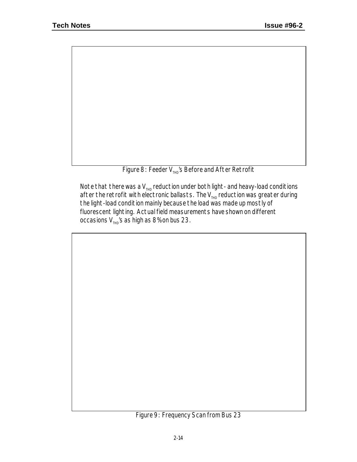Figure 8: Feeder  $V_{THP}$ 's Before and After Retrofit

Note that there was a  $\mathsf{V}_{_{\sf THD}}$  reduction under both light- and heavy-load conditions after the retrofit with electronic ballasts. The  $V_{THD}$  reduction was greater during the light-load condition mainly because the load was made up mostly of fluorescent lighting. Actual field measurements have shown on different occasions  $V_{THD}$ 's as high as 8% on bus 23.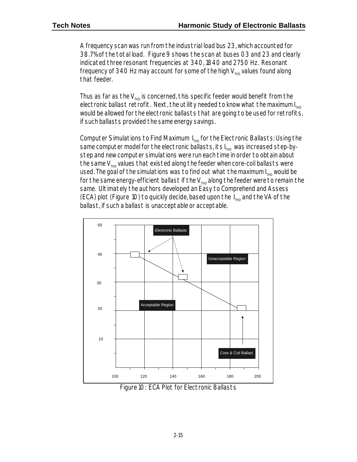A frequency scan was run from the industrial load bus 23, which accounted for 38.7% of the total load. Figure 9 shows the scan at buses 03 and 23 and clearly indicated three resonant frequencies at 340, 1840 and 2750 Hz. Resonant frequency of 340 Hz may account for some of the high  $V_{THP}$  values found along that feeder.

Thus as far as the  $V_{THD}$  is concerned, this specific feeder would benefit from the electronic ballast retrofit. Next, the utility needed to know what the maximum  $I_{Tup}$ would be allowed for the electronic ballasts that are going to be used for retrofits, if such ballasts provided the same energy savings.

Computer Simulations to Find Maximum  $I_{T<sub>HID</sub>}$  for the Electronic Ballasts: Using the same computer model for the electronic ballasts, its  $I_{THD}$  was increased step-bystep and new computer simulations were run each time in order to obtain about the same  $V_{run}$  values that existed along the feeder when core-coil ballasts were used. The goal of the simulations was to find out what the maximum  $I_{THD}$  would be for the same energy-efficient ballast if the  $V_{THD}$  along the feeder were to remain the same. Ultimately the authors developed an Easy to Comprehend and Assess (ECA) plot (Figure 10) to quickly decide, based upon the  $I_{THD}$  and the VA of the ballast, if such a ballast is unacceptable or acceptable.



Figure 10: ECA Plot for Electronic Ballasts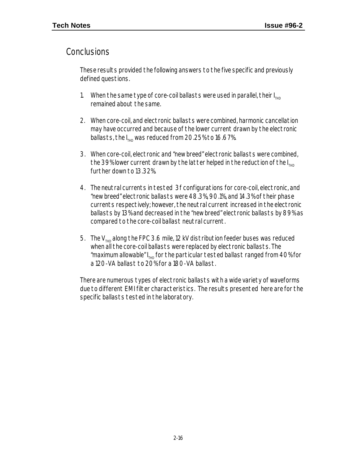#### Conclusions

These results provided the following answers to the five specific and previously defined questions.

- 1. When the same type of core-coil ballasts were used in parallel, their  $I_{THD}$ remained about the same.
- 2. When core-coil, and electronic ballasts were combined, harmonic cancellation may have occurred and because of the lower current drawn by the electronic ballasts, the  $I_{T=0}$  was reduced from 20.25% to 16.67%.
- 3. When core-coil, electronic and "new breed" electronic ballasts were combined, the 39% lower current drawn by the latter helped in the reduction of the  $I_{Tup}$ further down to 13.32%.
- 4. The neutral currents in tested 3f configurations for core-coil, electronic, and "new breed" electronic ballasts were 48.3%, 90.1%, and 14.3% of their phase currents respectively; however, the neutral current increased in the electronic ballasts by 13% and decreased in the "new breed" electronic ballasts by 89% as compared to the core-coil ballast neutral current.
- 5. The  $V_{THD}$  along the FPC 3.6 mile, 12 kV distribution feeder buses was reduced when all the core-coil ballasts were replaced by electronic ballasts. The "maximum allowable" I<sub>THD</sub> for the particular tested ballast ranged from 40% for a 120-VA ballast to 20% for a 180-VA ballast.

There are numerous types of electronic ballasts with a wide variety of waveforms due to different EMI filter characteristics. The results presented here are for the specific ballasts tested in the laboratory.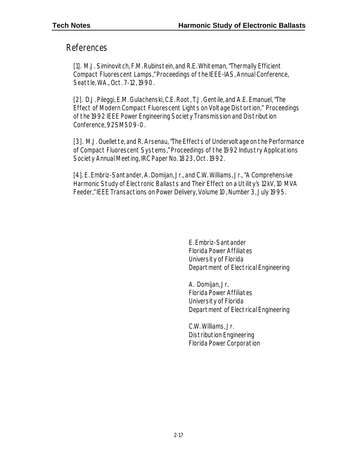#### References

[1]. M.J. Siminovitch, F.M. Rubinstein, and R.E. Whiteman, "Thermally Efficient Compact Fluorescent Lamps," Proceedings of the IEEE-IAS, Annual Conference, Seattle, WA., Oct. 7-12, 1990.

[2]. D.J. Pileggi, E.M. Gulachenski, C.E. Root, T.J. Gentile, and A.E. Emanuel, "The Effect of Modern Compact Fluorescent Lights on Voltage Distortion," Proceedings of the 1992 IEEE Power Engineering Society Transmission and Distribution Conference, 92SM509-0.

[3]. M.J. Ouellette, and R. Arsenau, "The Effects of Undervoltage on the Performance of Compact Fluorescent Systems," Proceedings of the 1992 Industry Applications Society Annual Meeting, IRC Paper No. 1823, Oct. 1992.

[4]. E. Embriz-Santander, A. Domijan, Jr., and C.W. Williams, Jr., "A Comprehensive Harmonic Study of Electronic Ballasts and Their Effect on a Utility's 12kV, 10 MVA Feeder," IEEE Transactions on Power Delivery, Volume 10, Number 3, July 1995.

> E. Embriz-Santander Florida Power Affiliates University of Florida Department of Electrical Engineering

> A. Domijan, Jr. Florida Power Affiliates University of Florida Department of Electrical Engineering

C.W. Williams, Jr. Distribution Engineering Florida Power Corporation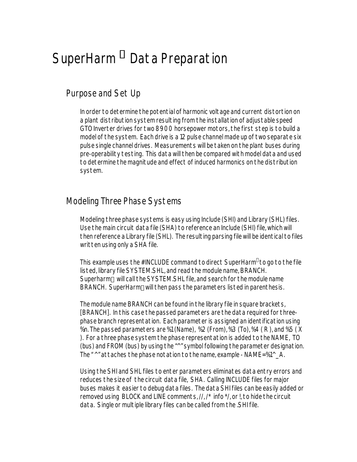# SuperHarm *<sup>â</sup>* Data Preparation

#### Purpose and Set Up

In order to determine the potential of harmonic voltage and current distortion on a plant distribution system resulting from the installation of adjustable speed GTO Inverter drives for two 8900 horsepower motors, the first step is to build a model of the system. Each drive is a 12 pulse channel made up of two separate six pulse single channel drives. Measurements will be taken on the plant buses during pre-operability testing. This data will then be compared with model data and used to determine the magnitude and effect of induced harmonics on the distribution system.

### Modeling Three Phase Systems

Modeling three phase systems is easy using Include (SHI) and Library (SHL) files. Use the main circuit data file (SHA) to reference an Include (SHI) file, which will then reference a Library file (SHL). The resulting parsing file will be identical to files written using only a SHA file.

This example uses the #INCLUDE command to direct SuperHarm®to go to the file listed, library file SYSTEM.SHL, and read the module name, BRANCH. Superharm® will call the SYSTEM.SHL file, and search for the module name BRANCH. SuperHarm®will then pass the parameters listed in parenthesis.

The module name BRANCH can be found in the library file in square brackets, [BRANCH]. In this case the passed parameters are the data required for threephase branch representation. Each parameter is assigned an identification using %n. The passed parameters are %1 (Name), %2 (From), %3 (To), %4 ( R ), and %5 ( X ). For a three phase system the phase representation is added to the NAME, TO (bus) and FROM (bus) by using the "^" symbol following the parameter designation. The " ^" attaches the phase notation to the name, example - NAME=%1^\_A.

Using the SHI and SHL files to enter parameters eliminates data entry errors and reduces the size of the circuit data file, SHA. Calling INCLUDE files for major buses makes it easier to debug data files. The data SHI files can be easily added or removed using BLOCK and LINE comments, //, /\* info \*/, or !, to hide the circuit data. Single or multiple library files can be called from the .SHI file.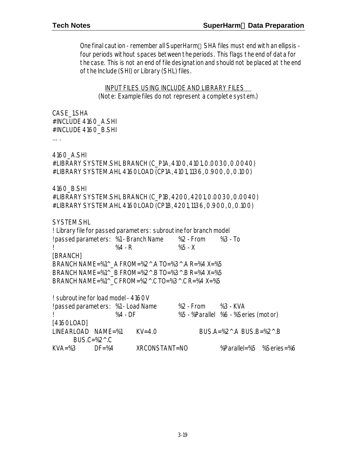One final caution - remember all SuperHarm® SHA files must end with an ellipsis four periods without spaces between the periods. This flags the end of data for the case. This is not an end of file designation and should not be placed at the end of the Include (SHI) or Library (SHL) files.

INPUT FILES USING INCLUDE AND LIBRARY FILES (Note: Example files do not represent a complete system.)

CASE\_1.SHA #INCLUDE 4160\_A.SHI #INCLUDE 4160\_B.SHI

….

4160\_A.SHI #LIBRARY SYSTEM.SHL BRANCH (C\_P1A, 4100, 4101, 0.0030, 0.0040) #LIBRARY SYSTEM.AHL 4160LOAD (CP1A, 4101, 1136, 0.900, 0, 0.100)

4160\_B.SHI

#LIBRARY SYSTEM.SHL BRANCH (C\_P1B, 4200, 4201, 0.0030, 0.0040) #LIBRARY SYSTEM.AHL 4160LOAD (CP1B, 4201, 1136, 0.900, 0, 0.100)

SYSTEM.SHL ! Library file for passed parameters: subroutine for branch model ! passed parameters: %1 - Branch Name %2 - From %3 - To ! %4 - R %5 - X [BRANCH] BRANCH NAME=%1^\_A FROM=%2^.A TO=%3^.A R=%4 X=%5 BRANCH NAME=%1^ B FROM=%2^.B TO=%3^.B R=%4 X=%5 BRANCH NAME=%1^ C FROM=%2^.C TO=%3^.C R=%4 X=%5

! subroutine for load model - 4160V ! passed parameters: %1 - Load Name %2 - From %3 - KVA ! %4 - DF %5 - %Parallel %6 - %Series (motor) [4160LOAD] LINEARLOAD NAME=%1 KV=4.0 BUS.A=%2^.A BUS.B=%2^.B  $BUS.C=\%2^{\wedge}.C$ KVA=%3 DF=%4 XRCONSTANT=NO %Parallel=%5 %Series=%6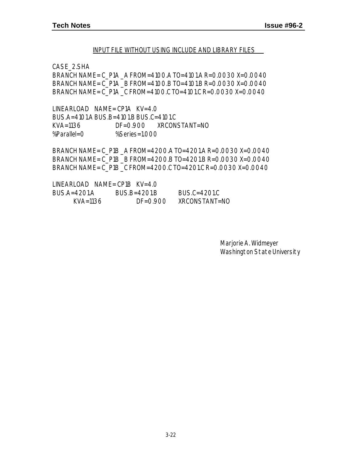#### INPUT FILE WITHOUT USING INCLUDE AND LIBRARY FILES

CASE\_2.SHA

BRANCH NAME= C\_P1A \_A FROM=4100.A TO=4101.A R=0.0030 X=0.0040 BRANCH NAME= C\_P1A \_B FROM=4100.B TO=4101.B R=0.0030 X=0.0040 BRANCH NAME= C\_P1A \_C FROM=4100.C TO=4101.C R=0.0030 X=0.0040

LINEARLOAD NAME= CP1A KV=4.0 BUS.A=4101.A BUS.B=4101.B BUS.C=4101.C KVA=1136 DF=0.900 XRCONSTANT=NO %Parallel=0 %Series=1.000

BRANCH NAME= C\_P1B \_A FROM=4200.A TO=4201.A R=0.0030 X=0.0040 BRANCH NAME= C\_P1B \_B FROM=4200.B TO=4201.B R=0.0030 X=0.0040 BRANCH NAME= C\_P1B \_C FROM=4200.C TO=4201.C R=0.0030 X=0.0040

| LINEARLOAD NAME=CP1B KV=4.0 |              |               |
|-----------------------------|--------------|---------------|
| BUS.A=4201.A                | $RUSB=4201B$ | BUS.C=4201.C  |
| KVA=1136                    | $DF = 0.900$ | XRCONSTANT=NO |

Marjorie A. Widmeyer Washington State University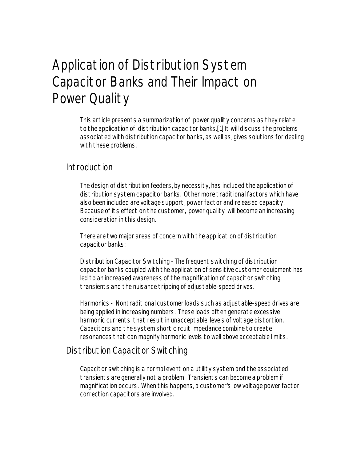## Application of Distribution System Capacitor Banks and Their Impact on Power Quality

This article presents a summarization of power quality concerns as they relate to the application of distribution capacitor banks.[1] It will discuss the problems associated with distribution capacitor banks, as well as, gives solutions for dealing with these problems.

#### Introduction

The design of distribution feeders, by necessity, has included the application of distribution system capacitor banks. Other more traditional factors which have also been included are voltage support, power factor and released capacity. Because of its effect on the customer, power quality will become an increasing consideration in this design.

There are two major areas of concern with the application of distribution capacitor banks:

Distribution Capacitor Switching - The frequent switching of distribution capacitor banks coupled with the application of sensitive customer equipment has led to an increased awareness of the magnification of capacitor switching transients and the nuisance tripping of adjustable-speed drives.

Harmonics - Nontraditional customer loads such as adjustable-speed drives are being applied in increasing numbers. These loads often generate excessive harmonic currents that result in unacceptable levels of voltage distortion. Capacitors and the system short circuit impedance combine to create resonances that can magnify harmonic levels to well above acceptable limits.

#### Distribution Capacitor Switching

Capacitor switching is a normal event on a utility system and the associated transients are generally not a problem. Transients can become a problem if magnification occurs. When this happens, a customer's low voltage power factor correction capacitors are involved.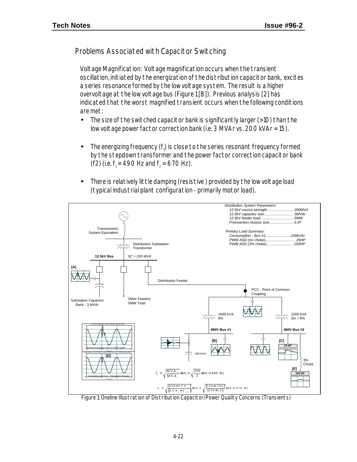Problems Associated with Capacitor Switching

Voltage Magnification: Voltage magnification occurs when the transient oscillation, initiated by the energization of the distribution capacitor bank, excites a series resonance formed by the low voltage system. The result is a higher overvoltage at the low voltage bus (Figure 1 [B]). Previous analysis [2] has indicated that the worst magnified transient occurs when the following conditions are met:

- The size of the switched capacitor bank is significantly larger (>10) than the low voltage power factor correction bank (i.e. 3 MVAr vs. 200 kVAr = 15).
- $\bullet$  The energizing frequency (f<sub>i</sub>) is close to the series resonant frequency formed by the stepdown transformer and the power factor correction capacitor bank (f2) (i.e.  $f_1 = 490$  Hz and  $f_2 = 670$  Hz).
- There is relatively little damping (resistive ) provided by the low voltage load (typical industrial plant configuration - primarily motor load).



Figure 1: Oneline Illustration of Distribution Capacitor/Power Quality Concerns (Transients)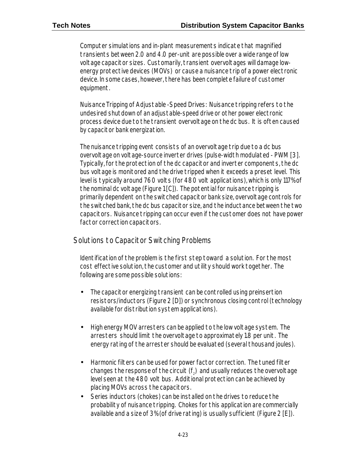Computer simulations and in-plant measurements indicate that magnified transients between 2.0 and 4.0 per-unit are possible over a wide range of low voltage capacitor sizes. Customarily, transient overvoltages will damage lowenergy protective devices (MOVs) or cause a nuisance trip of a power electronic device. In some cases, however, there has been complete failure of customer equipment.

Nuisance Tripping of Adjustable -Speed Drives: Nuisance tripping refers to the undesired shutdown of an adjustable-speed drive or other power electronic process device due to the transient overvoltage on the dc bus. It is often caused by capacitor bank energization.

The nuisance tripping event consists of an overvoltage trip due to a dc bus overvoltage on voltage-source inverter drives (pulse-width modulated - PWM [3]. Typically, for the protection of the dc capacitor and inverter components, the dc bus voltage is monitored and the drive tripped when it exceeds a preset level. This level is typically around 760 volts (for 480 volt applications), which is only 117% of the nominal dc voltage (Figure 1 [C]). The potential for nuisance tripping is primarily dependent on the switched capacitor bank size, overvoltage controls for the switched bank, the dc bus capacitor size, and the inductance between the two capacitors. Nuisance tripping can occur even if the customer does not have power factor correction capacitors.

#### Solutions to Capacitor Switching Problems

Identification of the problem is the first step toward a solution. For the most cost effective solution, the customer and utility should work together. The following are some possible solutions:

- The capacitor energizing transient can be controlled using preinsertion resistors/inductors (Figure 2 [D]) or synchronous closing control (technology available for distribution system applications).
- High energy MOV arresters can be applied to the low voltage system. The arresters should limit the overvoltage to approximately 1.8 per unit. The energy rating of the arrester should be evaluated (several thousand joules).
- Harmonic filters can be used for power factor correction. The tuned filter changes the response of the circuit (f $_{\textrm{\scriptsize{2}}}$ ) and usually reduces the overvoltage level seen at the 480 volt bus. Additional protection can be achieved by placing MOVs across the capacitors.
- Series inductors (chokes) can be installed on the drives to reduce the probability of nuisance tripping. Chokes for this application are commercially available and a size of 3% (of drive rating) is usually sufficient (Figure 2 [E]).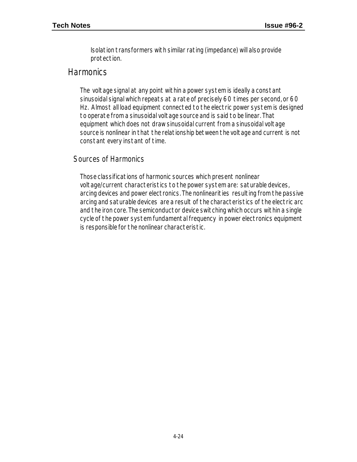Isolation transformers with similar rating (impedance) will also provide protection.

#### **Harmonics**

The voltage signal at any point within a power system is ideally a constant sinusoidal signal which repeats at a rate of precisely 60 times per second, or 60 Hz. Almost all load equipment connected to the electric power system is designed to operate from a sinusoidal voltage source and is said to be linear. That equipment which does not draw sinusoidal current from a sinusoidal voltage source is nonlinear in that the relationship between the voltage and current is not constant every instant of time.

#### Sources of Harmonics

Those classifications of harmonic sources which present nonlinear voltage/current characteristics to the power system are: saturable devices, arcing devices and power electronics. The nonlinearities resulting from the passive arcing and saturable devices are a result of the characteristics of the electric arc and the iron core. The semiconductor device switching which occurs within a single cycle of the power system fundamental frequency in power electronics equipment is responsible for the nonlinear characteristic.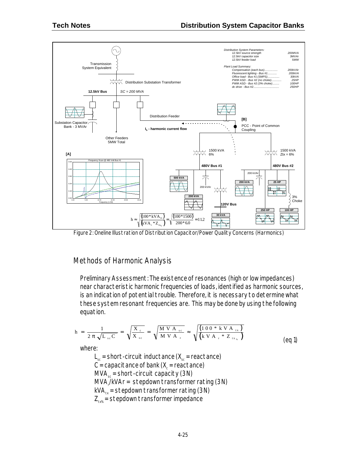

Figure 2: Oneline Illustration of Distribution Capacitor/Power Quality Concerns (Harmonics)

#### Methods of Harmonic Analysis

Preliminary Assessment: The existence of resonances (high or low impedances) near characteristic harmonic frequencies of loads, identified as harmonic sources, is an indication of potential trouble. Therefore, it is necessary to determine what these system resonant frequencies are. This may be done by using the following equation.

$$
h = \frac{1}{2 \pi \sqrt{L_{sc} C}} = \sqrt{\frac{X_c}{X_{sc}}} = \sqrt{\frac{M V A_{sc}}{M V A_{r}}} \approx \sqrt{\frac{(100 * k V A_{tx})}{(k V A_{r} * Z_{tx})}}
$$
(eq1)

where:

 $L_{\rm sc}$  = short-circuit inductance ( $X_{\rm sc}$  = reactance)  $C$  = capacitance of bank (X $_{\rm c}$  = reactance)  $MVA<sub>cs</sub>$  = short-circuit capacity (3N) MVA,/kVAr = stepdown transformer rating (3N)  $kVA_{tx}$  = stepdown transformer rating (3N)  $Z_{\text{tx\%}}$  = stepdown transformer impedance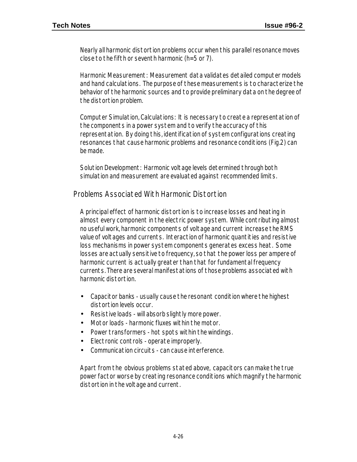Nearly all harmonic distortion problems occur when this parallel resonance moves close to the fifth or seventh harmonic (h=5 or 7).

Harmonic Measurement: Measurement data validates detailed computer models and hand calculations. The purpose of these measurements is to characterize the behavior of the harmonic sources and to provide preliminary data on the degree of the distortion problem.

Computer Simulation, Calculations: It is necessary to create a representation of the components in a power system and to verify the accuracy of this representation. By doing this, identification of system configurations creating resonances that cause harmonic problems and resonance conditions (Fig.2) can be made.

Solution Development: Harmonic voltage levels determined through both simulation and measurement are evaluated against recommended limits.

Problems Associated With Harmonic Distortion

A principal effect of harmonic distortion is to increase losses and heating in almost every component in the electric power system. While contributing almost no useful work, harmonic components of voltage and current increase the RMS value of voltages and currents. Interaction of harmonic quantities and resistive loss mechanisms in power system components generates excess heat. Some losses are actually sensitive to frequency, so that the power loss per ampere of harmonic current is actually greater than that for fundamental frequency currents. There are several manifestations of those problems associated with harmonic distortion.

- Capacitor banks usually cause the resonant condition where the highest distortion levels occur.
- Resistive loads will absorb slightly more power.
- Motor loads harmonic fluxes within the motor.
- Power transformers hot spots within the windings.
- Electronic controls operate improperly.
- Communication circuits can cause interference.

Apart from the obvious problems stated above, capacitors can make the true power factor worse by creating resonance conditions which magnify the harmonic distortion in the voltage and current.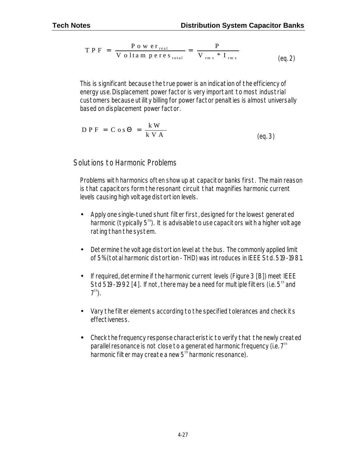$$
TP F = \frac{P \circ w \text{ er}_{real}}{V \text{ o} \text{ lta m pere } s_{total}} = \frac{P}{V_{rms} * I_{rms}}
$$
(eq. 2)

This is significant because the true power is an indication of the efficiency of energy use. Displacement power factor is very important to most industrial customers because utility billing for power factor penalties is almost universally based on displacement power factor.

$$
D P F = C o s \Theta = \frac{k W}{k V A}
$$
 (eq. 3)

Solutions to Harmonic Problems

Problems with harmonics often show up at capacitor banks first. The main reason is that capacitors form the resonant circuit that magnifies harmonic current levels causing high voltage distortion levels.

- Apply one single-tuned shunt filter first, designed for the lowest generated harmonic (typically  $5<sup>th</sup>$ ). It is advisable to use capacitors with a higher voltage rating than the system.
- Determine the voltage distortion level at the bus. The commonly applied limit of 5% (total harmonic distortion - THD) was introduces in IEEE Std. 519-1981.
- If required, determine if the harmonic current levels (Figure 3 [B]) meet IEEE Std 519-1992 [4]. If not, there may be a need for multiple filters (i.e.  $5<sup>th</sup>$  and  $7<sup>th</sup>$ ).
- Vary the filter elements according to the specified tolerances and check its effectiveness.
- Check the frequency response characteristic to verify that the newly created parallel resonance is not close to a generated harmonic frequency (i.e.  $7<sup>th</sup>$ harmonic filter may create a new  $5<sup>th</sup>$  harmonic resonance).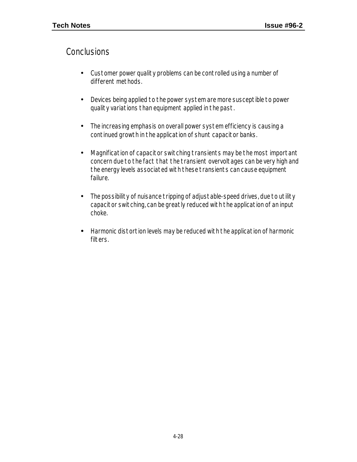#### **Conclusions**

- Customer power quality problems can be controlled using a number of different methods.
- Devices being applied to the power system are more susceptible to power quality variations than equipment applied in the past.
- The increasing emphasis on overall power system efficiency is causing a continued growth in the application of shunt capacitor banks.
- Magnification of capacitor switching transients may be the most important concern due to the fact that the transient overvoltages can be very high and the energy levels associated with these transients can cause equipment failure.
- The possibility of nuisance tripping of adjustable-speed drives, due to utility capacitor switching, can be greatly reduced with the application of an input choke.
- *·* Harmonic distortion levels may be reduced with the application of harmonic filters.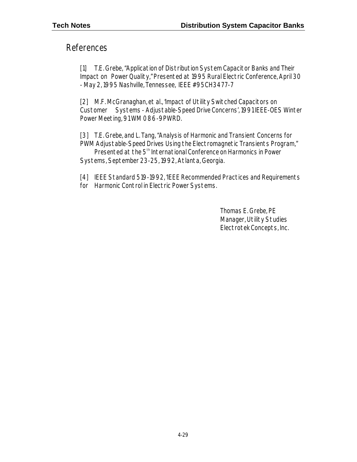#### References

[1] T.E. Grebe, "Application of Distribution System Capacitor Banks and Their Impact on Power Quality," Presented at 1995 Rural Electric Conference, April 30 - May 2, 1995 Nashville, Tennessee, IEEE #95CH3477-7

[2] M.F. McGranaghan, et al., 'Impact of Utility Switched Capacitors on Customer Systems - Adjustable-Speed Drive Concerns', 1991 IEEE-OES Winter Power Meeting, 91 WM 086-9PWRD.

[3] T.E. Grebe, and L. Tang, "Analysis of Harmonic and Transient Concerns for PWM Adjustable-Speed Drives Using the Electromagnetic Transients Program,"

Presented at the 5<sup>th</sup> International Conference on Harmonics in Power Systems, September 23-25, 1992, Atlanta, Georgia.

[4] IEEE Standard 519-1992, 'IEEE Recommended Practices and Requirements for Harmonic Control in Electric Power Systems.

> Thomas E. Grebe, PE Manager, Utility Studies Electrotek Concepts, Inc.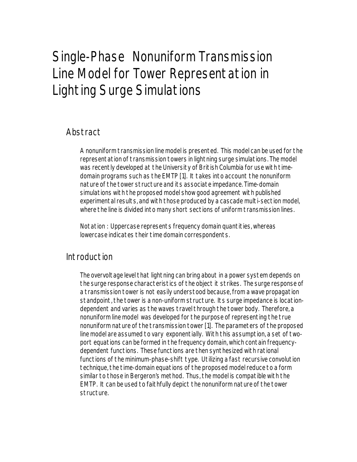## Single-Phase Nonuniform Transmission Line Model for Tower Representation in Lighting Surge Simulations

## Abstract

A nonuniform transmission line model is presented. This model can be used for the representation of transmission towers in lightning surge simulations. The model was recently developed at the University of British Columbia for use with timedomain programs such as the EMTP [1]. It takes into account the nonuniform nature of the tower structure and its associate impedance. Time-domain simulations with the proposed model show good agreement with published experimental results, and with those produced by a cascade multi-section model, where the line is divided into many short sections of uniform transmission lines.

Notation : Uppercase represents frequency domain quantities, whereas lowercase indicates their time domain correspondents.

#### Introduction

The overvoltage level that lightning can bring about in a power system depends on the surge response characteristics of the object it strikes. The surge response of a transmission tower is not easily understood because, from a wave propagation standpoint, the tower is a non-uniform structure. Its surge impedance is locationdependent and varies as the waves travel through the tower body. Therefore, a nonuniform line model was developed for the purpose of representing the true nonuniform nature of the transmission tower [1]. The parameters of the proposed line model are assumed to vary exponentially. With this assumption, a set of twoport equations can be formed in the frequency domain, which contain frequencydependent functions. These functions are then synthesized with rational functions of the minimum-phase-shift type. Utilizing a fast recursive convolution technique, the time-domain equations of the proposed model reduce to a form similar to those in Bergeron's method. Thus, the model is compatible with the EMTP. It can be used to faithfully depict the nonuniform nature of the tower structure.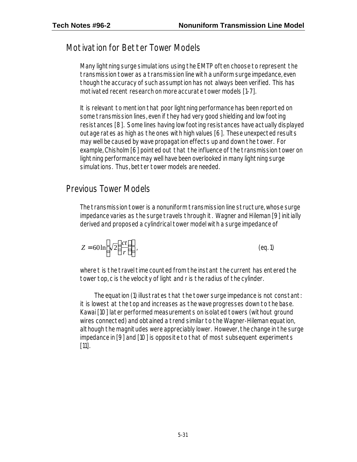## Motivation for Better Tower Models

Many lightning surge simulations using the EMTP often choose to represent the transmission tower as a transmission line with a uniform surge impedance, even though the accuracy of such assumption has not always been verified. This has motivated recent research on more accurate tower models [1-7].

It is relevant to mention that poor lightning performance has been reported on some transmission lines, even if they had very good shielding and low footing resistances [8]. Some lines having low footing resistances have actually displayed outage rates as high as the ones with high values [6]. These unexpected results may well be caused by wave propagation effects up and down the tower. For example, Chisholm [6] pointed out that the influence of the transmission tower on lightning performance may well have been overlooked in many lightning surge simulations. Thus, better tower models are needed.

## Previous Tower Models

The transmission tower is a nonuniform transmission line structure, whose surge impedance varies as the surge travels through it. Wagner and Hileman [9] initially derived and proposed a cylindrical tower model with a surge impedance of

$$
Z = 60 \ln \left[ \sqrt{2} \left( \frac{ct}{r} \right) \right].
$$
 (eq. 1)

where t is the travel time counted from the instant the current has entered the tower top, c is the velocity of light and r is the radius of the cylinder.

The equation (1) illustrates that the tower surge impedance is not constant: it is lowest at the top and increases as the wave progresses down to the base. Kawai [10] later performed measurements on isolated towers (without ground wires connected) and obtained a trend similar to the Wagner-Hileman equation, although the magnitudes were appreciably lower. However, the change in the surge impedance in [9] and [10] is opposite to that of most subsequent experiments [11].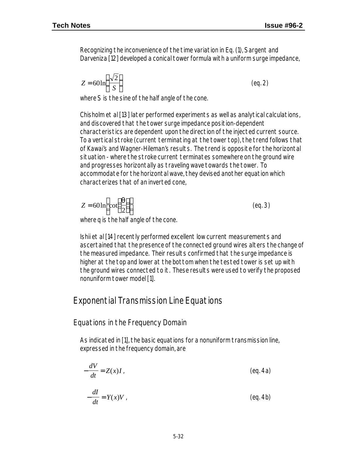(eq. 3)

Recognizing the inconvenience of the time variation in Eq. (1), Sargent and Darveniza [12] developed a conical tower formula with a uniform surge impedance,

$$
Z = 60 \ln \left( \frac{\sqrt{2}}{S} \right) \tag{eq.2}
$$

where S is the sine of the half angle of the cone.

Chisholm et al [13] later performed experiments as well as analytical calculations, and discovered that the tower surge impedance position-dependent characteristics are dependent upon the direction of the injected current source. To a vertical stroke (current terminating at the tower top), the trend follows that of Kawai's and Wagner-Hileman's results. The trend is opposite for the horizontal situation - where the stroke current terminates somewhere on the ground wire and progresses horizontally as traveling wave towards the tower. To accommodate for the horizontal wave, they devised another equation which characterizes that of an inverted cone,

$$
Z = 60 \ln \left[\cot\left(\frac{q}{2}\right)\right]
$$

where q is the half angle of the cone.

Ishii et al [14] recently performed excellent low current measurements and ascertained that the presence of the connected ground wires alters the change of the measured impedance. Their results confirmed that the surge impedance is higher at the top and lower at the bottom when the tested tower is set up with the ground wires connected to it. These results were used to verify the proposed nonuniform tower model [1].

#### Exponential Transmission Line Equations

Equations in the Frequency Domain

As indicated in [1], the basic equations for a nonuniform transmission line, expressed in the frequency domain, are

$$
-\frac{dV}{dt} = Z(x)I
$$
 (eq. 4a)

$$
-\frac{dI}{dt} = Y(x)V
$$
 (eq. 4b)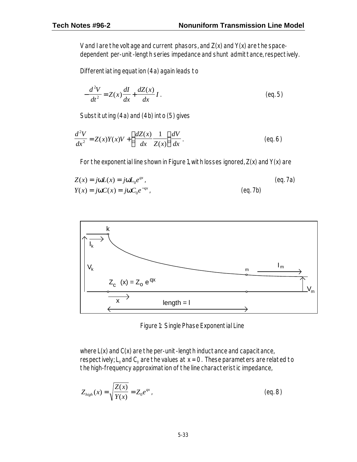V and I are the voltage and current phasors, and  $Z(x)$  and  $Y(x)$  are the spacedependent per-unit-length series impedance and shunt admittance, respectively.

Differentiating equation (4a) again leads to

$$
-\frac{d^2V}{dt^2} = Z(x)\frac{dI}{dx} + \frac{dZ(x)}{dx}I
$$
 (eq. 5)

Substituting (4a) and (4b) into (5) gives

$$
\frac{d^2V}{dx^2} = Z(x)Y(x)V + \left(\frac{dZ(x)}{dx}\frac{1}{Z(x)}\right)\frac{dV}{dx}.
$$
\n(eq. 6)

For the exponential line shown in Figure 1, with losses ignored, Z(x) and Y(x) are

$$
Z(x) = jwL(x) = jwL_0e^{qx}
$$
 (eq. 7a)  

$$
Y(x) = jwC(x) = jwC_0e^{-qx}
$$
 (eq. 7b)



Figure 1: Single Phase Exponential Line

where L(x) and C(x) are the per-unit-length inductance and capacitance, respectively;  $\mathsf{L}_{_{\mathsf{O}}}$ and  $\mathsf{C}_{_{\mathsf{O}}}$  are the values at x = 0. These parameters are related to the high-frequency approximation of the line characteristic impedance,

$$
Z_{high}(x) = \sqrt{\frac{Z(x)}{Y(x)}} = Z_0 e^{qx} \tag{eq.8}
$$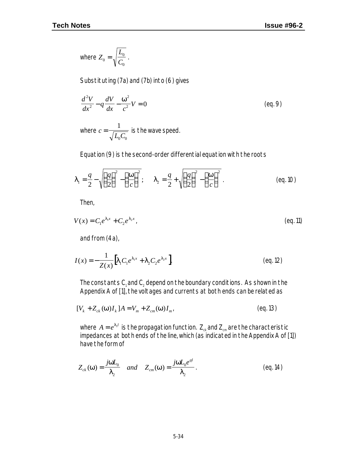where 
$$
Z_0 = \sqrt{\frac{L_0}{C_0}}
$$
.

Substituting (7a) and (7b) into (6) gives

$$
\frac{d^2V}{dx^2} - q\frac{dV}{dx} - \frac{w^2}{c^2}V = 0
$$
 (eq. 9)

where  $c = \frac{1}{\sqrt{L_0 C_0}}$ = 1  $_{0}$  $\mathcal{C}_{0}$ is the wave speed.

Equation (9) is the second-order differential equation with the roots

$$
\boldsymbol{I}_1 = \frac{q}{2} - \sqrt{\left(\frac{q}{2}\right)^2 - \left(\frac{w}{c}\right)^2}; \qquad \boldsymbol{I}_2 = \frac{q}{2} + \sqrt{\left(\frac{q}{2}\right)^2 - \left(\frac{w}{c}\right)^2} \tag{eq.10}
$$

Then,

$$
V(x) = C_1 e^{I_1 x} + C_2 e^{I_2 x} \tag{eq.11}
$$

and from (4a),

$$
I(x) = -\frac{1}{Z(x)} \Big[ I_1 C_1 e^{I_1 x} + I_2 C_2 e^{I_2 x} \Big].
$$
 (eq. 12)

The constants  $\mathsf{C}_\mathsf{1}$  and  $\mathsf{C}_\mathsf{2}$  depend on the boundary conditions. As shown in the Appendix A of [1], the voltages and currents at both ends can be related as

$$
[V_k + Z_{ck}(\mathbf{w})I_k]A = V_m + Z_{cm}(\mathbf{w})I_{m'}
$$
 (eq. 13)

where  $\,A=e^{I_1l}\,$  is the propagation function.  $\,{\mathsf Z}_\alpha$  and  ${\mathsf Z}_\mathsf{cm}$  are the characteristic impedances at both ends of the line, which (as indicated in the Appendix A of [1]) have the form of

$$
Z_{ck}(\mathbf{w}) = \frac{j\mathbf{w}L_0}{\mathbf{I}_2} \quad and \quad Z_{cm}(\mathbf{w}) = \frac{j\mathbf{w}L_0e^{ql}}{\mathbf{I}_2} \tag{eq.14}
$$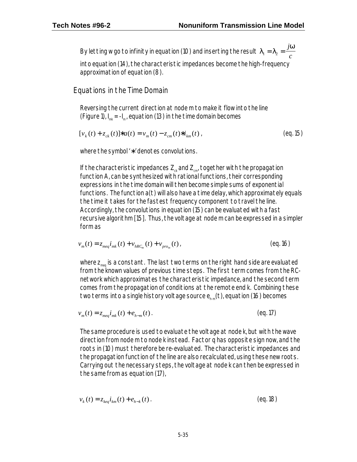By letting w go to infinity in equation (10) and inserting the result  $\boldsymbol{I}_{1}=\boldsymbol{I}_{2}$ *w*  $_{1} = I_{2} =$ *j c*

into equation (14), the characteristic impedances become the high-frequency approximation of equation (8).

Equations in the Time Domain

Reversing the current direction at node m to make it flow into the line (Figure 1),  $I_{mk} = -I_{m}$ , equation (13) in the time domain becomes

$$
[v_k(t) + z_{ck}(t)] * a(t) = v_m(t) - z_{cm}(t) * i_{km}(t)
$$
\n(eq.15)

where the symbol '∗ ' denotes convolutions.

If the characteristic impedances  $Z_{\alpha}$  and  $Z_{\text{cm}}$ , together with the propagation function A, can be synthesized with rational functions, their corresponding expressions in the time domain will then become simple sums of exponential functions. The function a(t) will also have a time delay, which approximately equals the time it takes for the fastest frequency component to travel the line. Accordingly, the convolutions in equation (15) can be evaluated with a fast recursive algorithm [15]. Thus, the voltage at node m can be expressed in a simpler form as

$$
v_m(t) = z_{meq} i_{mk}(t) + v_{hRC_m}(t) + v_{pro_m}(t)
$$
\n(eq.16)

where  $z_{\text{max}}$  is a constant. The last two terms on the right hand side are evaluated from the known values of previous time steps. The first term comes from the RCnetwork which approximates the characteristic impedance, and the second term comes from the propagation of conditions at the remote end k. Combining these two terms into a single history voltage source  $e_{h,m}(t)$ , equation (16) becomes

$$
v_m(t) = z_{meq} i_{mk}(t) + e_{h-m}(t).
$$
 (eq.17)

The same procedure is used to evaluate the voltage at node k, but with the wave direction from node m to node k instead. Factor q has opposite sign now, and the roots in (10) must therefore be re-evaluated. The characteristic impedances and the propagation function of the line are also recalculated, using these new roots. Carrying out the necessary steps, the voltage at node k can then be expressed in the same from as equation (17),

$$
v_k(t) = z_{keq} i_{km}(t) + e_{h-k}(t)
$$
 (eq. 18)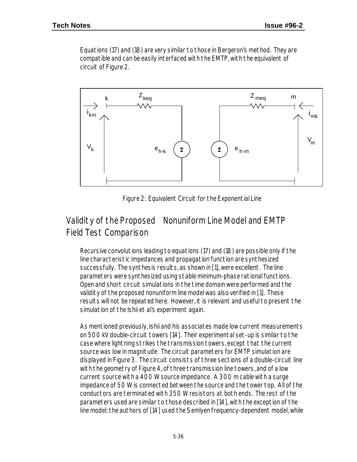Equations (17) and (18) are very similar to those in Bergeron's method. They are compatible and can be easily interfaced with the EMTP, with the equivalent of circuit of Figure 2.



Figure 2: Equivalent Circuit for the Exponential Line

## Validity of the Proposed Nonuniform Line Model and EMTP Field Test Comparison

Recursive convolutions leading to equations (17) and (18) are possible only if the line characteristic impedances and propagation function are synthesized successfully. The synthesis results, as shown in [1], were excellent. The line parameters were synthesized using stable minimum-phase rational functions. Open and short circuit simulations in the time domain were performed and the validity of the proposed nonuniform line model was also verified in [1]. These results will not be repeated here. However, it is relevant and useful to present the simulation of the Ishii et al's experiment again.

As mentioned previously, Ishii and his associates made low current measurements on 500 kV double-circuit towers [14]. Their experimental set-up is similar to the case where lightning strikes the transmission towers, except that the current source was low in magnitude. The circuit parameters for EMTP simulation are displayed in Figure 3. The circuit consists of three sections of a double-circuit line with the geometry of Figure 4, of three transmission line towers, and of a low current source with a 400 W source impedance. A 300 m cable with a surge impedance of 50 W is connected between the source and the tower top. All of the conductors are terminated with 350 W resistors at both ends. The rest of the parameters used are similar to those described in [14], with the exception of the line model: the authors of [14] used the Semlyen frequency-dependent model, while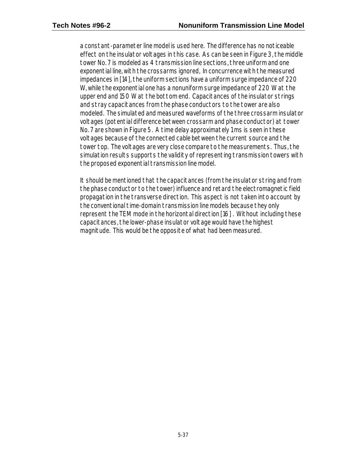a constant-parameter line model is used here. The difference has no noticeable effect on the insulator voltages in this case. As can be seen in Figure 3, the middle tower No. 7 is modeled as 4 transmission line sections, three uniform and one exponential line, with the crossarms ignored, In concurrence with the measured impedances in [14], the uniform sections have a uniform surge impedance of 220 W, while the exponential one has a nonuniform surge impedance of 220 W at the upper end and 150 W at the bottom end. Capacitances of the insulator strings and stray capacitances from the phase conductors to the tower are also modeled. The simulated and measured waveforms of the three crossarm insulator voltages (potential difference between crossarm and phase conductor) at tower No. 7 are shown in Figure 5. A time delay approximately 1 ms is seen in these voltages because of the connected cable between the current source and the tower top. The voltages are very close compare to the measurements. Thus, the simulation results supports the validity of representing transmission towers with the proposed exponential transmission line model.

It should be mentioned that the capacitances (from the insulator string and from the phase conductor to the tower) influence and retard the electromagnetic field propagation in the transverse direction. This aspect is not taken into account by the conventional time-domain transmission line models because they only represent the TEM mode in the horizontal direction [16] . Without including these capacitances, the lower-phase insulator voltage would have the highest magnitude. This would be the opposite of what had been measured.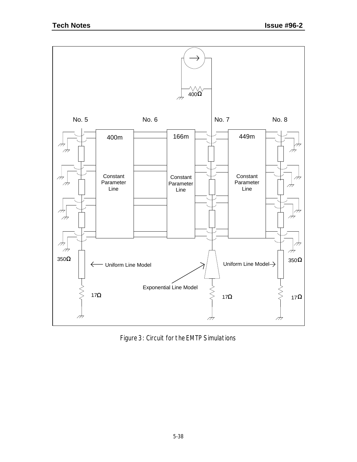

Figure 3: Circuit for the EMTP Simulations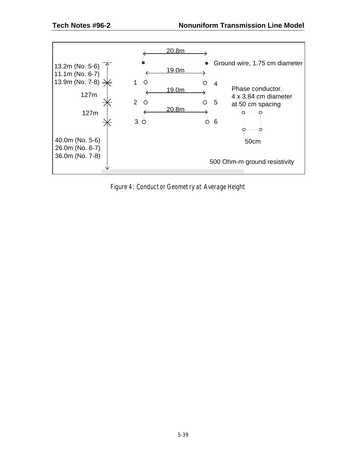

Figure 4: Conductor Geometry at Average Height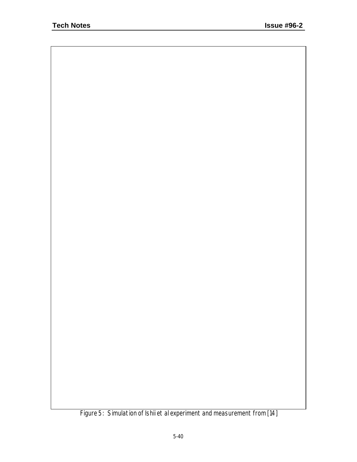Figure 5: Simulation of Ishii et al experiment and measurement from [14]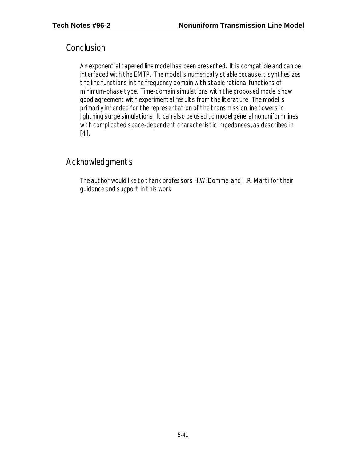### **Conclusion**

An exponential tapered line model has been presented. It is compatible and can be interfaced with the EMTP. The model is numerically stable because it synthesizes the line functions in the frequency domain with stable rational functions of minimum-phase type. Time-domain simulations with the proposed model show good agreement with experimental results from the literature. The model is primarily intended for the representation of the transmission line towers in lightning surge simulations. It can also be used to model general nonuniform lines with complicated space-dependent characteristic impedances, as described in [4].

## Acknowledgments

The author would like to thank professors H.W. Dommel and J.R. Marti for their guidance and support in this work.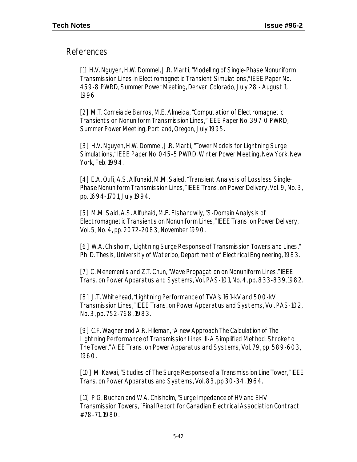#### References

[1] H.V. Nguyen, H.W. Dommel, J.R. Marti, "Modelling of Single-Phase Nonuniform Transmission Lines in Electromagnetic Transient Simulations," IEEE Paper No. 459-8 PWRD, Summer Power Meeting, Denver, Colorado, July 28 - August 1, 1996.

[2] M.T. Correia de Barros, M.E. Almeida, "Computation of Electromagnetic Transients on Nonuniform Transmission Lines," IEEE Paper No. 397-0 PWRD, Summer Power Meeting, Portland, Oregon, July 1995.

[3] H.V. Nguyen, H.W. Dommel, J.R. Marti, "Tower Models for Lightning Surge Simulations," IEEE Paper No. 045-5 PWRD, Winter Power Meeting, New York, New York, Feb. 1994.

[4] E.A. Oufi, A.S. Alfuhaid, M.M. Saied, "Transient Analysis of Lossless Single-Phase Nonuniform Transmission Lines," IEEE Trans. on Power Delivery, Vol. 9, No. 3, pp. 1694-1701, July 1994.

[5] M.M. Said, A.S. Alfuhaid, M.E. Elshandwily, "S-Domain Analysis of Electromagnetic Transients on Nonuniform Lines," IEEE Trans. on Power Delivery, Vol. 5, No. 4, pp. 2072-2083, November 1990.

[6] W.A. Chisholm, "Lightning Surge Response of Transmission Towers and Lines," Ph. D. Thesis, University of Waterloo, Department of Electrical Engineering, 1983.

[7] C. Menemenlis and Z.T. Chun, "Wave Propagation on Nonuniform Lines," IEEE Trans. on Power Apparatus and Systems, Vol. PAS-101, No. 4, pp. 833-839,1982.

[8] J.T. Whitehead, "Lightning Performance of TVA's 161-kV and 500-kV Transmission Lines," IEEE Trans. on Power Apparatus and Systems, Vol. PAS-102, No. 3, pp. 752-768, 1983.

[9] C.F. Wagner and A.R. Hileman, "A new Approach The Calculation of The Lightning Performance of Transmission Lines III-A Simplified Method: Stroke to The Tower," AIEE Trans. on Power Apparatus and Systems, Vol. 79, pp. 589-603, 1960.

[10] M. Kawai, "Studies of The Surge Response of a Transmission Line Tower," IEEE Trans. on Power Apparatus and Systems, Vol. 83, pp 30-34, 1964.

[11] P.G. Buchan and W.A. Chisholm, "Surge Impedance of HV and EHV Transmission Towers," Final Report for Canadian Electrical Association Contract #78-71, 1980.